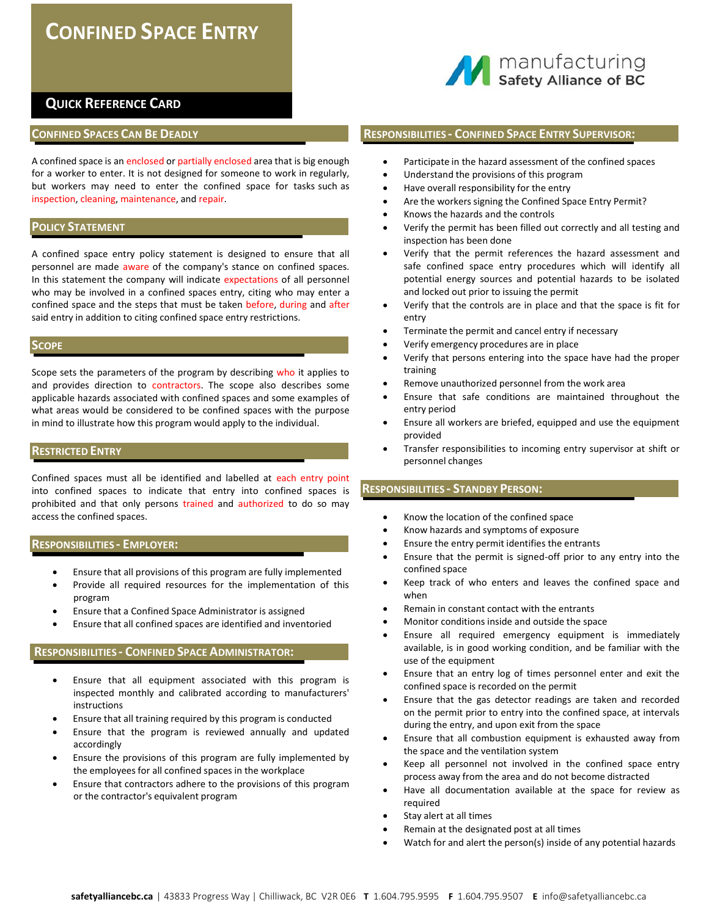# **CONFINED SPACE ENTRY**



## **QUICK REFERENCE CARD**

## **CONFINED SPACES CAN BE DEADLY**

A confined space is an enclosed or partially enclosed area that is big enough for a worker to enter. It is not designed for someone to work in regularly, but workers may need to enter the confined space for tasks such as inspection, cleaning, maintenance, and repair.

#### **POLICY STATEMENT**

A confined space entry policy statement is designed to ensure that all personnel are made aware of the company's stance on confined spaces. In this statement the company will indicate expectations of all personnel who may be involved in a confined spaces entry, citing who may enter a confined space and the steps that must be taken before, during and after said entry in addition to citing confined space entry restrictions.

## **SCOPE**

Scope sets the parameters of the program by describing who it applies to and provides direction to contractors. The scope also describes some applicable hazards associated with confined spaces and some examples of what areas would be considered to be confined spaces with the purpose in mind to illustrate how this program would apply to the individual.

## **RESTRICTED ENTRY**

Confined spaces must all be identified and labelled at each entry point into confined spaces to indicate that entry into confined spaces is prohibited and that only persons trained and authorized to do so may access the confined spaces.

## **RESPONSIBILITIES ‐ EMPLOYER:**

- Ensure that all provisions of this program are fully implemented
- Provide all required resources for the implementation of this program
- Ensure that a Confined Space Administrator is assigned
- Ensure that all confined spaces are identified and inventoried

#### **RESPONSIBILITIES ‐ CONFINED SPACE ADMINISTRATOR:**

- Ensure that all equipment associated with this program is inspected monthly and calibrated according to manufacturers' instructions
- Ensure that all training required by this program is conducted
- Ensure that the program is reviewed annually and updated accordingly
- Ensure the provisions of this program are fully implemented by the employees for all confined spaces in the workplace
- Ensure that contractors adhere to the provisions of this program or the contractor's equivalent program

## **RESPONSIBILITIES ‐ CONFINED SPACE ENTRY SUPERVISOR:**

- Participate in the hazard assessment of the confined spaces
- Understand the provisions of this program
- Have overall responsibility for the entry
- Are the workers signing the Confined Space Entry Permit?
- Knows the hazards and the controls
- Verify the permit has been filled out correctly and all testing and inspection has been done
- Verify that the permit references the hazard assessment and safe confined space entry procedures which will identify all potential energy sources and potential hazards to be isolated and locked out prior to issuing the permit
- Verify that the controls are in place and that the space is fit for entry
- Terminate the permit and cancel entry if necessary
- Verify emergency procedures are in place
- Verify that persons entering into the space have had the proper training
- Remove unauthorized personnel from the work area
- Ensure that safe conditions are maintained throughout the entry period
- Ensure all workers are briefed, equipped and use the equipment provided
- Transfer responsibilities to incoming entry supervisor at shift or personnel changes

## **RESPONSIBILITIES ‐ STANDBY PERSON:**

- Know the location of the confined space
- Know hazards and symptoms of exposure
- Ensure the entry permit identifies the entrants
- Ensure that the permit is signed‐off prior to any entry into the confined space
- Keep track of who enters and leaves the confined space and when
- Remain in constant contact with the entrants
- Monitor conditions inside and outside the space
- Ensure all required emergency equipment is immediately available, is in good working condition, and be familiar with the use of the equipment
- Ensure that an entry log of times personnel enter and exit the confined space is recorded on the permit
- Ensure that the gas detector readings are taken and recorded on the permit prior to entry into the confined space, at intervals during the entry, and upon exit from the space
- Ensure that all combustion equipment is exhausted away from the space and the ventilation system
- Keep all personnel not involved in the confined space entry process away from the area and do not become distracted
- Have all documentation available at the space for review as required
- Stay alert at all times
- Remain at the designated post at all times
- Watch for and alert the person(s) inside of any potential hazards